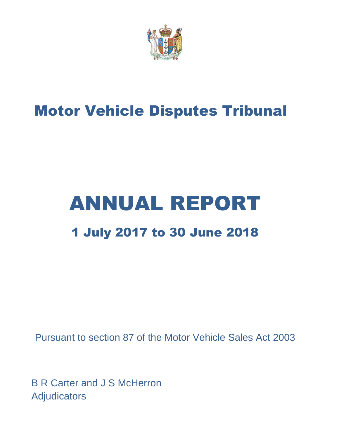

# Motor Vehicle Disputes Tribunal

# ANNUAL REPORT 1 July 2017 to 30 June 2018

Pursuant to section 87 of the Motor Vehicle Sales Act 2003

B R Carter and J S McHerron Adjudicators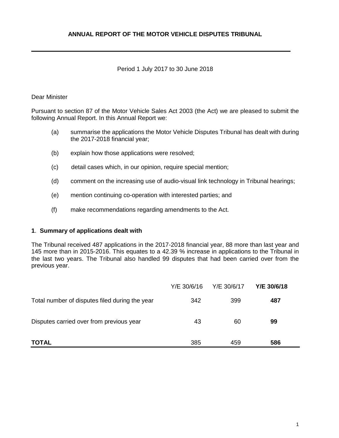# Period 1 July 2017 to 30 June 2018

## Dear Minister

Pursuant to section 87 of the Motor Vehicle Sales Act 2003 (the Act) we are pleased to submit the following Annual Report. In this Annual Report we:

- (a) summarise the applications the Motor Vehicle Disputes Tribunal has dealt with during the 2017-2018 financial year;
- (b) explain how those applications were resolved;
- (c) detail cases which, in our opinion, require special mention;
- (d) comment on the increasing use of audio-visual link technology in Tribunal hearings;
- (e) mention continuing co-operation with interested parties; and
- (f) make recommendations regarding amendments to the Act.

#### **1**. **Summary of applications dealt with**

The Tribunal received 487 applications in the 2017-2018 financial year, 88 more than last year and 145 more than in 2015-2016. This equates to a 42.39 % increase in applications to the Tribunal in the last two years. The Tribunal also handled 99 disputes that had been carried over from the previous year.

|                                                | Y/E 30/6/16 | Y/E 30/6/17 | Y/E 30/6/18 |  |
|------------------------------------------------|-------------|-------------|-------------|--|
| Total number of disputes filed during the year | 342         | 399         | 487         |  |
| Disputes carried over from previous year       | 43          | 60          | 99          |  |
| <b>TOTAL</b>                                   | 385         | 459         | 586         |  |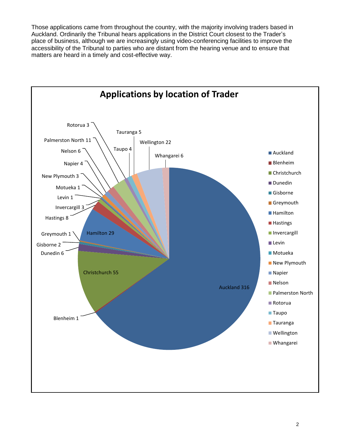Those applications came from throughout the country, with the majority involving traders based in Auckland. Ordinarily the Tribunal hears applications in the District Court closest to the Trader's place of business, although we are increasingly using video-conferencing facilities to improve the accessibility of the Tribunal to parties who are distant from the hearing venue and to ensure that matters are heard in a timely and cost-effective way.

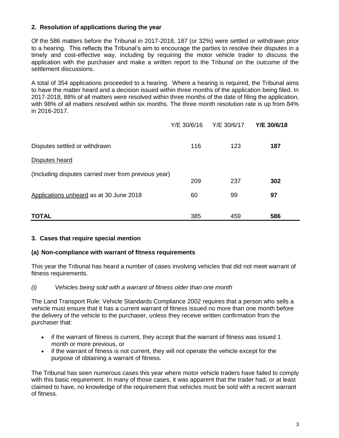# **2. Resolution of applications during the year**

Of the 586 matters before the Tribunal in 2017-2018, 187 (or 32%) were settled or withdrawn prior to a hearing. This reflects the Tribunal's aim to encourage the parties to resolve their disputes in a timely and cost-effective way, including by requiring the motor vehicle trader to discuss the application with the purchaser and make a written report to the Tribunal on the outcome of the settlement discussions.

A total of 354 applications proceeded to a hearing. Where a hearing is required, the Tribunal aims to have the matter heard and a decision issued within three months of the application being filed. In 2017-2018, 88% of all matters were resolved within three months of the date of filing the application, with 98% of all matters resolved within six months. The three month resolution rate is up from 84% in 2016-2017.

|                                                      | Y/E 30/6/16 | Y/E 30/6/17 | Y/E 30/6/18 |
|------------------------------------------------------|-------------|-------------|-------------|
| Disputes settled or withdrawn                        | 116         | 123         | 187         |
| Disputes heard                                       |             |             |             |
| (Including disputes carried over from previous year) | 209         | 237         | 302         |
| Applications unheard as at 30 June 2018              | 60          | 99          | 97          |
| <b>TOTAL</b>                                         | 385         | 459         | 586         |

#### **3. Cases that require special mention**

#### **(a) Non-compliance with warrant of fitness requirements**

This year the Tribunal has heard a number of cases involving vehicles that did not meet warrant of fitness requirements.

#### *(i) Vehicles being sold with a warrant of fitness older than one month*

The Land Transport Rule: Vehicle Standards Compliance 2002 requires that a person who sells a vehicle must ensure that it has a current warrant of fitness issued no more than one month before the delivery of the vehicle to the purchaser, unless they receive written confirmation from the purchaser that:

- if the warrant of fitness is current, they accept that the warrant of fitness was issued 1 month or more previous, or
- if the warrant of fitness is not current, they will not operate the vehicle except for the purpose of obtaining a warrant of fitness.

The Tribunal has seen numerous cases this year where motor vehicle traders have failed to comply with this basic requirement. In many of those cases, it was apparent that the trader had, or at least claimed to have, no knowledge of the requirement that vehicles must be sold with a recent warrant of fitness.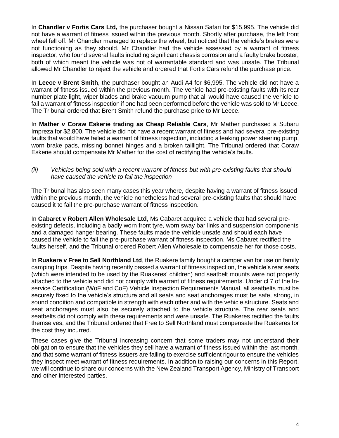In **Chandler v Fortis Cars Ltd,** the purchaser bought a Nissan Safari for \$15,995. The vehicle did not have a warrant of fitness issued within the previous month. Shortly after purchase, the left front wheel fell off. Mr Chandler managed to replace the wheel, but noticed that the vehicle's brakes were not functioning as they should. Mr Chandler had the vehicle assessed by a warrant of fitness inspector, who found several faults including significant chassis corrosion and a faulty brake booster, both of which meant the vehicle was not of warrantable standard and was unsafe. The Tribunal allowed Mr Chandler to reject the vehicle and ordered that Fortis Cars refund the purchase price.

In **Leece v Brent Smith**, the purchaser bought an Audi A4 for \$6,995. The vehicle did not have a warrant of fitness issued within the previous month. The vehicle had pre-existing faults with its rear number plate light, wiper blades and brake vacuum pump that all would have caused the vehicle to fail a warrant of fitness inspection if one had been performed before the vehicle was sold to Mr Leece. The Tribunal ordered that Brent Smith refund the purchase price to Mr Leece.

In **Mather v Coraw Eskerie trading as Cheap Reliable Cars**, Mr Mather purchased a Subaru Impreza for \$2,800. The vehicle did not have a recent warrant of fitness and had several pre-existing faults that would have failed a warrant of fitness inspection, including a leaking power steering pump, worn brake pads, missing bonnet hinges and a broken taillight. The Tribunal ordered that Coraw Eskerie should compensate Mr Mather for the cost of rectifying the vehicle's faults.

#### *(ii) Vehicles being sold with a recent warrant of fitness but with pre-existing faults that should have caused the vehicle to fail the inspection*

The Tribunal has also seen many cases this year where, despite having a warrant of fitness issued within the previous month, the vehicle nonetheless had several pre-existing faults that should have caused it to fail the pre-purchase warrant of fitness inspection.

In **Cabaret v Robert Allen Wholesale Ltd**, Ms Cabaret acquired a vehicle that had several preexisting defects, including a badly worn front tyre, worn sway bar links and suspension components and a damaged hanger bearing. These faults made the vehicle unsafe and should each have caused the vehicle to fail the pre-purchase warrant of fitness inspection. Ms Cabaret rectified the faults herself, and the Tribunal ordered Robert Allen Wholesale to compensate her for those costs.

In **Ruakere v Free to Sell Northland Ltd**, the Ruakere family bought a camper van for use on family camping trips. Despite having recently passed a warrant of fitness inspection, the vehicle's rear seats (which were intended to be used by the Ruakeres' children) and seatbelt mounts were not properly attached to the vehicle and did not comply with warrant of fitness requirements. Under cl 7 of the Inservice Certification (WoF and CoF) Vehicle Inspection Requirements Manual, all seatbelts must be securely fixed to the vehicle's structure and all seats and seat anchorages must be safe, strong, in sound condition and compatible in strength with each other and with the vehicle structure. Seats and seat anchorages must also be securely attached to the vehicle structure. The rear seats and seatbelts did not comply with these requirements and were unsafe. The Ruakeres rectified the faults themselves, and the Tribunal ordered that Free to Sell Northland must compensate the Ruakeres for the cost they incurred.

These cases give the Tribunal increasing concern that some traders may not understand their obligation to ensure that the vehicles they sell have a warrant of fitness issued within the last month, and that some warrant of fitness issuers are failing to exercise sufficient rigour to ensure the vehicles they inspect meet warrant of fitness requirements. In addition to raising our concerns in this Report, we will continue to share our concerns with the New Zealand Transport Agency, Ministry of Transport and other interested parties.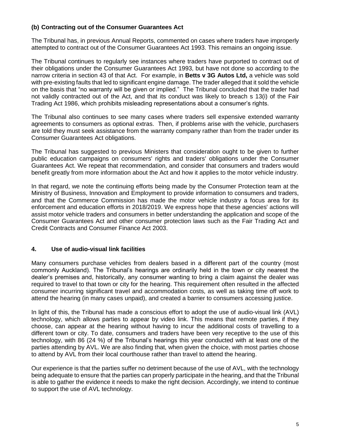## **(b) Contracting out of the Consumer Guarantees Act**

The Tribunal has, in previous Annual Reports, commented on cases where traders have improperly attempted to contract out of the Consumer Guarantees Act 1993. This remains an ongoing issue.

The Tribunal continues to regularly see instances where traders have purported to contract out of their obligations under the Consumer Guarantees Act 1993, but have not done so according to the narrow criteria in section 43 of that Act. For example, in **Betts v 3G Autos Ltd,** a vehicle was sold with pre-existing faults that led to significant engine damage. The trader alleged that it sold the vehicle on the basis that "no warranty will be given or implied." The Tribunal concluded that the trader had not validly contracted out of the Act, and that its conduct was likely to breach s 13(i) of the Fair Trading Act 1986, which prohibits misleading representations about a consumer's rights.

The Tribunal also continues to see many cases where traders sell expensive extended warranty agreements to consumers as optional extras. Then, if problems arise with the vehicle, purchasers are told they must seek assistance from the warranty company rather than from the trader under its Consumer Guarantees Act obligations.

The Tribunal has suggested to previous Ministers that consideration ought to be given to further public education campaigns on consumers' rights and traders' obligations under the Consumer Guarantees Act. We repeat that recommendation, and consider that consumers and traders would benefit greatly from more information about the Act and how it applies to the motor vehicle industry.

In that regard, we note the continuing efforts being made by the Consumer Protection team at the Ministry of Business, Innovation and Employment to provide information to consumers and traders, and that the Commerce Commission has made the motor vehicle industry a focus area for its enforcement and education efforts in 2018/2019. We express hope that these agencies' actions will assist motor vehicle traders and consumers in better understanding the application and scope of the Consumer Guarantees Act and other consumer protection laws such as the Fair Trading Act and Credit Contracts and Consumer Finance Act 2003.

#### **4. Use of audio-visual link facilities**

Many consumers purchase vehicles from dealers based in a different part of the country (most commonly Auckland). The Tribunal's hearings are ordinarily held in the town or city nearest the dealer's premises and, historically, any consumer wanting to bring a claim against the dealer was required to travel to that town or city for the hearing. This requirement often resulted in the affected consumer incurring significant travel and accommodation costs, as well as taking time off work to attend the hearing (in many cases unpaid), and created a barrier to consumers accessing justice.

In light of this, the Tribunal has made a conscious effort to adopt the use of audio-visual link (AVL) technology, which allows parties to appear by video link. This means that remote parties, if they choose, can appear at the hearing without having to incur the additional costs of travelling to a different town or city. To date, consumers and traders have been very receptive to the use of this technology, with 86 (24 %) of the Tribunal's hearings this year conducted with at least one of the parties attending by AVL. We are also finding that, when given the choice, with most parties choose to attend by AVL from their local courthouse rather than travel to attend the hearing.

Our experience is that the parties suffer no detriment because of the use of AVL, with the technology being adequate to ensure that the parties can properly participate in the hearing, and that the Tribunal is able to gather the evidence it needs to make the right decision. Accordingly, we intend to continue to support the use of AVL technology.